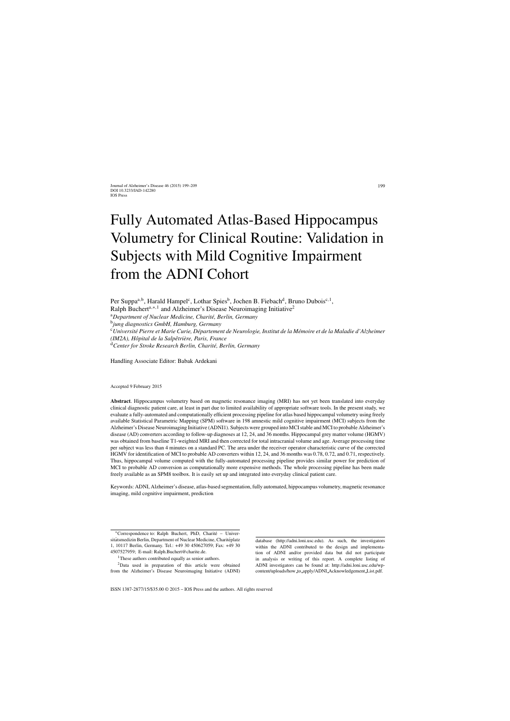# Fully Automated Atlas-Based Hippocampus Volumetry for Clinical Routine: Validation in Subjects with Mild Cognitive Impairment from the ADNI Cohort

Per Suppa<sup>a,b</sup>, Harald Hampel<sup>c</sup>, Lothar Spies<sup>b</sup>, Jochen B. Fiebach<sup>d</sup>, Bruno Dubois<sup>c, 1</sup>, Ralph Buchert<sup>a,∗,1</sup> and Alzheimer's Disease Neuroimaging Initiative<sup>2</sup>

<sup>a</sup>Department of Nuclear Medicine, Charité, Berlin, Germany

<sup>b</sup>*jung diagnostics GmbH, Hamburg, Germany*

<sup>c</sup> Université Pierre et Marie Curie, Département de Neurologie, Institut de la Mémoire et de la Maladie d'Alzheimer

*(IM2A), H ˆopital de la Salpˆetri`ere, Paris, France*

<sup>d</sup> Center for Stroke Research Berlin, Charité, Berlin, Germany

Handling Associate Editor: Babak Ardekani

Accepted 9 February 2015

**Abstract**. Hippocampus volumetry based on magnetic resonance imaging (MRI) has not yet been translated into everyday clinical diagnostic patient care, at least in part due to limited availability of appropriate software tools. In the present study, we evaluate a fully-automated and computationally efficient processing pipeline for atlas based hippocampal volumetry using freely available Statistical Parametric Mapping (SPM) software in 198 amnestic mild cognitive impairment (MCI) subjects from the Alzheimer's Disease Neuroimaging Initiative (ADNI1). Subjects were grouped into MCI stable and MCI to probable Alzheimer's disease (AD) converters according to follow-up diagnoses at 12, 24, and 36 months. Hippocampal grey matter volume (HGMV) was obtained from baseline T1-weighted MRI and then corrected for total intracranial volume and age. Average processing time per subject was less than 4 minutes on a standard PC. The area under the receiver operator characteristic curve of the corrected HGMV for identification of MCI to probable AD converters within 12, 24, and 36 months was 0.78, 0.72, and 0.71, respectively. Thus, hippocampal volume computed with the fully-automated processing pipeline provides similar power for prediction of MCI to probable AD conversion as computationally more expensive methods. The whole processing pipeline has been made freely available as an SPM8 toolbox. It is easily set up and integrated into everyday clinical patient care.

Keywords: ADNI, Alzheimer's disease, atlas-based segmentation, fully automated, hippocampus volumetry, magnetic resonance imaging, mild cognitive impairment, prediction

database [\(http://adni.loni.usc.edu\)](http://adni.loni.usc.edu). As such, the investigators within the ADNI contributed to the design and implementation of ADNI and/or provided data but did not participate in analysis or writing of this report. A complete listing of ADNI investigators can be found at: [http://adni.loni.usc.edu/wp](http://adni.loni.usc.edu/wp-content/uploads/how_to_apply/ADNI_Acknowledgement_List.pdf)content/uploads/how to apply/ADNI Acknowledgement List.pdf.

<sup>∗</sup>Correspondence to: Ralph Buchert, PhD, Charite – Univer- ´ sitätsmedizin Berlin, Department of Nuclear Medicine, Charitéplatz 1, 10117 Berlin, Germany. Tel.: +49 30 450627059; Fax: +49 30 4507527959; E-mail: [Ralph.Buchert@charite.de](mailto:Ralph.Buchert@charite.de).

<sup>&</sup>lt;sup>1</sup>These authors contributed equally as senior authors.

<sup>2</sup>Data used in preparation of this article were obtained from the Alzheimer's Disease Neuroimaging Initiative (ADNI)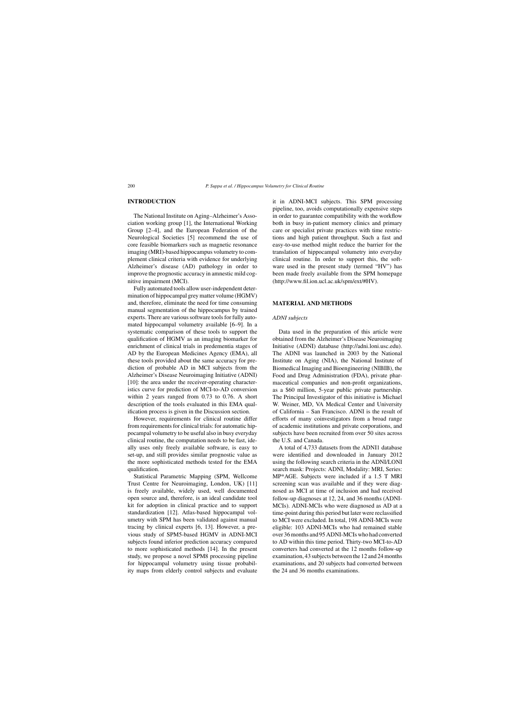# **INTRODUCTION**

The National Institute on Aging–Alzheimer's Association working group [1], the International Working Group [2–4], and the European Federation of the Neurological Societies [5] recommend the use of core feasible biomarkers such as magnetic resonance imaging (MRI)-based hippocampus volumetry to complement clinical criteria with evidence for underlying Alzheimer's disease (AD) pathology in order to improve the prognostic accuracy in amnestic mild cognitive impairment (MCI).

Fully automated tools allow user-independent determination of hippocampal grey matter volume (HGMV) and, therefore, eliminate the need for time consuming manual segmentation of the hippocampus by trained experts. There are various software tools for fully automated hippocampal volumetry available [6–9]. In a systematic comparison of these tools to support the qualification of HGMV as an imaging biomarker for enrichment of clinical trials in predementia stages of AD by the European Medicines Agency (EMA), all these tools provided about the same accuracy for prediction of probable AD in MCI subjects from the Alzheimer's Disease Neuroimaging Initiative (ADNI) [10]: the area under the receiver-operating characteristics curve for prediction of MCI-to-AD conversion within 2 years ranged from 0.73 to 0.76. A short description of the tools evaluated in this EMA qualification process is given in the Discussion section.

However, requirements for clinical routine differ from requirements for clinical trials: for automatic hippocampal volumetry to be useful also in busy everyday clinical routine, the computation needs to be fast, ideally uses only freely available software, is easy to set-up, and still provides similar prognostic value as the more sophisticated methods tested for the EMA qualification.

Statistical Parametric Mapping (SPM, Wellcome Trust Centre for Neuroimaging, London, UK) [11] is freely available, widely used, well documented open source and, therefore, is an ideal candidate tool kit for adoption in clinical practice and to support standardization [12]. Atlas-based hippocampal volumetry with SPM has been validated against manual tracing by clinical experts [6, 13]. However, a previous study of SPM5-based HGMV in ADNI-MCI subjects found inferior prediction accuracy compared to more sophisticated methods [14]. In the present study, we propose a novel SPM8 processing pipeline for hippocampal volumetry using tissue probability maps from elderly control subjects and evaluate it in ADNI-MCI subjects. This SPM processing pipeline, too, avoids computationally expensive steps in order to guarantee compatibility with the workflow both in busy in-patient memory clinics and primary care or specialist private practices with time restrictions and high patient throughput. Such a fast and easy-to-use method might reduce the barrier for the translation of hippocampal volumetry into everyday clinical routine. In order to support this, the software used in the present study (termed "HV") has been made freely available from the SPM homepage (<http://www.fil.ion.ucl.ac.uk/spm/ext/#HV>).

#### **MATERIAL AND METHODS**

### *ADNI subjects*

Data used in the preparation of this article were obtained from the Alzheimer's Disease Neuroimaging Initiative (ADNI) database [\(http://adni.loni.usc.edu\)](http://adni.loni.usc.edu). The ADNI was launched in 2003 by the National Institute on Aging (NIA), the National Institute of Biomedical Imaging and Bioengineering (NIBIB), the Food and Drug Administration (FDA), private pharmaceutical companies and non-profit organizations, as a \$60 million, 5-year public private partnership. The Principal Investigator of this initiative is Michael W. Weiner, MD, VA Medical Center and University of California – San Francisco. ADNI is the result of efforts of many coinvestigators from a broad range of academic institutions and private corporations, and subjects have been recruited from over 50 sites across the U.S. and Canada.

A total of 4,733 datasets from the ADNI1 database were identified and downloaded in January 2012 using the following search criteria in the ADNI/LONI search mask: Projects: ADNI, Modality: MRI, Series: MP\*AGE. Subjects were included if a 1.5 T MRI screening scan was available and if they were diagnosed as MCI at time of inclusion and had received follow-up diagnoses at 12, 24, and 36 months (ADNI-MCIs). ADNI-MCIs who were diagnosed as AD at a time-point during this period but later were reclassified to MCI were excluded. In total, 198 ADNI-MCIs were eligible: 103 ADNI-MCIs who had remained stable over 36 months and 95 ADNI-MCIs who had converted to AD within this time period. Thirty-two MCI-to-AD converters had converted at the 12 months follow-up examination, 43 subjects between the 12 and 24 months examinations, and 20 subjects had converted between the 24 and 36 months examinations.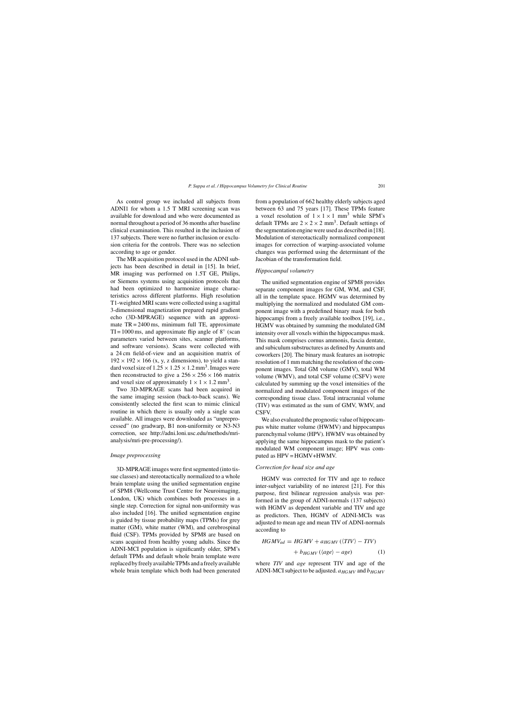As control group we included all subjects from ADNI1 for whom a 1.5 T MRI screening scan was available for download and who were documented as normal throughout a period of 36 months after baseline clinical examination. This resulted in the inclusion of 137 subjects. There were no further inclusion or exclusion criteria for the controls. There was no selection according to age or gender.

The MR acquisition protocol used in the ADNI subjects has been described in detail in [15]. In brief, MR imaging was performed on 1.5T GE, Philips, or Siemens systems using acquisition protocols that had been optimized to harmonize image characteristics across different platforms. High resolution T1-weighted MRI scans were collected using a sagittal 3-dimensional magnetization prepared rapid gradient echo (3D-MPRAGE) sequence with an approximate TR = 2400 ms, minimum full TE, approximate TI = 1000 ms, and approximate flip angle of  $8°$  (scan parameters varied between sites, scanner platforms, and software versions). Scans were collected with a 24 cm field-of-view and an acquisition matrix of  $192 \times 192 \times 166$  (x, y, z dimensions), to yield a standard voxel size of  $1.25 \times 1.25 \times 1.2$  mm<sup>3</sup>. Images were then reconstructed to give a  $256 \times 256 \times 166$  matrix and voxel size of approximately  $1 \times 1 \times 1.2$  mm<sup>3</sup>.

Two 3D-MPRAGE scans had been acquired in the same imaging session (back-to-back scans). We consistently selected the first scan to mimic clinical routine in which there is usually only a single scan available. All images were downloaded as "unpreprocessed" (no gradwarp, B1 non-uniformity or N3-N3 correction, see [http://adni.loni.usc.edu/methods/mri](http://adni.loni.usc.edu/methods/mri-analysis/mri-pre-processing/)analysis/mri-pre-processing/).

#### *Image preprocessing*

3D-MPRAGE images were first segmented (into tissue classes) and stereotactically normalized to a whole brain template using the unified segmentation engine of SPM8 (Wellcome Trust Centre for Neuroimaging, London, UK) which combines both processes in a single step. Correction for signal non-uniformity was also included [16]. The unified segmentation engine is guided by tissue probability maps (TPMs) for grey matter (GM), white matter (WM), and cerebrospinal fluid (CSF). TPMs provided by SPM8 are based on scans acquired from healthy young adults. Since the ADNI-MCI population is significantly older, SPM's default TPMs and default whole brain template were replacedbyfreelyavailableTPMsandafreelyavailable whole brain template which both had been generated from a population of 662 healthy elderly subjects aged between 63 and 75 years [17]. These TPMs feature a voxel resolution of  $1 \times 1 \times 1$  mm<sup>3</sup> while SPM's default TPMs are  $2 \times 2 \times 2$  mm<sup>3</sup>. Default settings of the segmentation engine were used as described in [18]. Modulation of stereotactically normalized component images for correction of warping-associated volume changes was performed using the determinant of the Jacobian of the transformation field.

### *Hippocampal volumetry*

The unified segmentation engine of SPM8 provides separate component images for GM, WM, and CSF, all in the template space. HGMV was determined by multiplying the normalized and modulated GM component image with a predefined binary mask for both hippocampi from a freely available toolbox [19], i.e., HGMV was obtained by summing the modulated GM intensity over all voxels within the hippocampus mask. This mask comprises cornus ammonis, fascia dentate, and subiculum substructures as defined by Amunts and coworkers [20]. The binary mask features an isotropic resolution of 1 mm matching the resolution of the component images. Total GM volume (GMV), total WM volume (WMV), and total CSF volume (CSFV) were calculated by summing up the voxel intensities of the normalized and modulated component images of the corresponding tissue class. Total intracranial volume (TIV) was estimated as the sum of GMV, WMV, and CSFV.

We also evaluated the prognostic value of hippocampus white matter volume (HWMV) and hippocampus parenchymal volume (HPV). HWMV was obtained by applying the same hippocampus mask to the patient's modulated WM component image; HPV was computed as HPV = HGMV+HWMV.

#### *Correction for head size and age*

HGMV was corrected for TIV and age to reduce inter-subject variability of no interest [21]. For this purpose, first bilinear regression analysis was performed in the group of ADNI-normals (137 subjects) with HGMV as dependent variable and TIV and age as predictors. Then, HGMV of ADNI-MCIs was adjusted to mean age and mean TIV of ADNI-normals according to

$$
HGMV_{ad} = HGMV + a_{HGMV} (\langle TIV \rangle - TIV) + b_{HGMV} (\langle age \rangle - age)
$$
 (1)

where *TIV* and *age* represent TIV and age of the ADNI-MCI subject to be adjusted.  $a_{HGMV}$  and  $b_{HGMV}$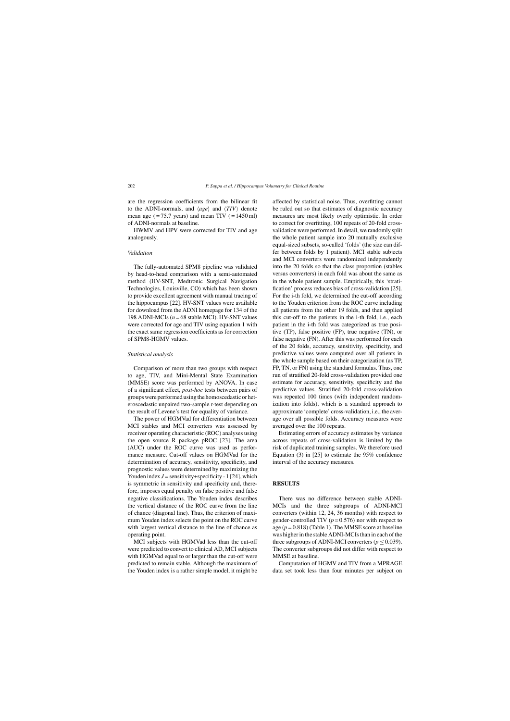are the regression coefficients from the bilinear fit to the ADNI-normals, and  $\langle age \rangle$  and  $\langle TIV \rangle$  denote mean age  $(= 75.7 \text{ years})$  and mean TIV  $(= 1450 \text{ ml})$ of ADNI-normals at baseline.

HWMV and HPV were corrected for TIV and age analogously.

# *Validation*

The fully-automated SPM8 pipeline was validated by head-to-head comparison with a semi-automated method (HV-SNT, Medtronic Surgical Navigation Technologies, Louisville, CO) which has been shown to provide excellent agreement with manual tracing of the hippocampus [22]. HV-SNT values were available for download from the ADNI homepage for 134 of the 198 ADNI-MCIs  $(n = 68$  stable MCI). HV-SNT values were corrected for age and TIV using equation 1 with the exact same regression coefficients as for correction of SPM8-HGMV values.

#### *Statistical analysis*

Comparison of more than two groups with respect to age, TIV, and Mini-Mental State Examination (MMSE) score was performed by ANOVA. In case of a significant effect, *post-hoc* tests between pairs of groups were performed using the homoscedastic or heteroscedastic unpaired two-sample *t*-test depending on the result of Levene's test for equality of variance.

The power of HGMVad for differentiation between MCI stables and MCI converters was assessed by receiver operating characteristic (ROC) analyses using the open source R package pROC [23]. The area (AUC) under the ROC curve was used as performance measure. Cut-off values on HGMVad for the determination of accuracy, sensitivity, specificity, and prognostic values were determined by maximizing the Youden index  $J =$  sensitivity+specificity - 1 [24], which is symmetric in sensitivity and specificity and, therefore, imposes equal penalty on false positive and false negative classifications. The Youden index describes the vertical distance of the ROC curve from the line of chance (diagonal line). Thus, the criterion of maximum Youden index selects the point on the ROC curve with largest vertical distance to the line of chance as operating point.

MCI subjects with HGMVad less than the cut-off were predicted to convert to clinical AD, MCI subjects with HGMVad equal to or larger than the cut-off were predicted to remain stable. Although the maximum of the Youden index is a rather simple model, it might be

affected by statistical noise. Thus, overfitting cannot be ruled out so that estimates of diagnostic accuracy measures are most likely overly optimistic. In order to correct for overfitting, 100 repeats of 20-fold crossvalidation were performed. In detail, we randomly split the whole patient sample into 20 mutually exclusive equal-sized subsets, so-called 'folds' (the size can differ between folds by 1 patient). MCI stable subjects and MCI converters were randomized independently into the 20 folds so that the class proportion (stables versus converters) in each fold was about the same as in the whole patient sample. Empirically, this 'stratification' process reduces bias of cross-validation [25]. For the i-th fold, we determined the cut-off according to the Youden criterion from the ROC curve including all patients from the other 19 folds, and then applied this cut-off to the patients in the i-th fold, i.e., each patient in the i-th fold was categorized as true positive (TP), false positive (FP), true negative (TN), or false negative (FN). After this was performed for each of the 20 folds, accuracy, sensitivity, specificity, and predictive values were computed over all patients in the whole sample based on their categorization (as TP, FP, TN, or FN) using the standard formulas. Thus, one run of stratified 20-fold cross-validation provided one estimate for accuracy, sensitivity, specificity and the predictive values. Stratified 20-fold cross-validation was repeated 100 times (with independent randomization into folds), which is a standard approach to approximate 'complete' cross-validation, i.e., the average over all possible folds. Accuracy measures were averaged over the 100 repeats.

Estimating errors of accuracy estimates by variance across repeats of cross-validation is limited by the risk of duplicated training samples. We therefore used Equation (3) in [25] to estimate the 95% confidence interval of the accuracy measures.

# **RESULTS**

There was no difference between stable ADNI-MCIs and the three subgroups of ADNI-MCI converters (within 12, 24, 36 months) with respect to gender-controlled TIV  $(p=0.576)$  nor with respect to age  $(p = 0.818)$  (Table 1). The MMSE score at baseline was higher in the stable ADNI-MCIs than in each of the three subgroups of ADNI-MCI converters ( $p \le 0.039$ ). The converter subgroups did not differ with respect to MMSE at baseline.

Computation of HGMV and TIV from a MPRAGE data set took less than four minutes per subject on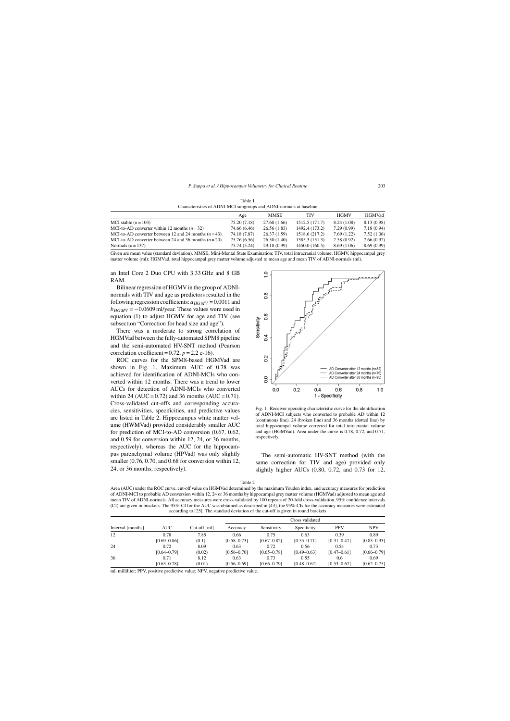Table 1

| Characteristics of ADNI-MCI subgroups and ADNI-normals at baseline |              |              |                |             |               |  |  |  |  |
|--------------------------------------------------------------------|--------------|--------------|----------------|-------------|---------------|--|--|--|--|
|                                                                    | Age          | <b>MMSE</b>  | TIV            | <b>HGMV</b> | <b>HGMVad</b> |  |  |  |  |
| MCI stable $(n = 103)$                                             | 75.20 (7.18) | 27.68(1.66)  | 1512.5 (171.7) | 8.24(1.08)  | 8.13 (0.98)   |  |  |  |  |
| MCI-to-AD converter within 12 months $(n=32)$                      | 74.66 (6.46) | 26.56(1.83)  | 1492.4 (173.2) | 7.29(0.99)  | 7.18(0.94)    |  |  |  |  |
| MCI-to-AD converter between 12 and 24 months $(n=43)$              | 74.18 (7.87) | 26.37(1.59)  | 1518.6 (217.2) | 7.69(1.22)  | 7.52(1.06)    |  |  |  |  |
| MCI-to-AD converter between 24 and 36 months $(n=20)$              | 75.76 (6.56) | 26.50(1.40)  | 1385.3 (151.3) | 7.58(0.92)  | 7.66(0.92)    |  |  |  |  |
| Normals $(n=137)$                                                  | 75.74 (5.24) | 29.18 (0.99) | 1450.0 (160.5) | 8.69(1.06)  | 8.69(0.99)    |  |  |  |  |

Given are mean value (standard deviation). MMSE, Mini-Mental State Examination; TIV, total intracranial volume; HGMV, hippocampal grey matter volume (ml); HGMVad, total hippocampal grey matter volume adjusted to mean age and mean TIV of ADNI-normals (ml).

an Intel Core 2 Duo CPU with 3.33 GHz and 8 GB RAM.

Bilinear regression of HGMV in the group of ADNInormals with TIV and age as predictors resulted in the following regression coefficients:  $a_{HGMV} = 0.0011$  and  $b_{HGMV}$  =  $-0.0609$  ml/year. These values were used in equation (1) to adjust HGMV for age and TIV (see subsection "Correction for head size and age").

There was a moderate to strong correlation of HGMVad between the fully-automated SPM8 pipeline and the semi-automated HV-SNT method (Pearson correlation coefficient =  $0.72$ ,  $p = 2.2$  e-16).

ROC curves for the SPM8-based HGMVad are shown in Fig. 1. Maximum AUC of 0.78 was achieved for identification of ADNI-MCIs who converted within 12 months. There was a trend to lower AUCs for detection of ADNI-MCIs who converted within 24 (AUC =  $0.72$ ) and 36 months (AUC =  $0.71$ ). Cross-validated cut-offs and corresponding accuracies, sensitivities, specificities, and predictive values are listed in Table 2. Hippocampus white matter volume (HWMVad) provided considerably smaller AUC for prediction of MCI-to-AD conversion (0.67, 0.62, and 0.59 for conversion within 12, 24, or 36 months, respectively), whereas the AUC for the hippocampus parenchymal volume (HPVad) was only slightly smaller (0.76, 0.70, and 0.68 for conversion within 12, 24, or 36 months, respectively).



Fig. 1. Receiver operating characteristic curve for the identification of ADNI-MCI subjects who converted to probable AD within 12 (continuous line), 24 (broken line) and 36 months (dotted line) by total hippocampal volume corrected for total intracranial volume and age (HGMVad). Area under the curve is 0.78, 0.72, and 0.71, respectively.

The semi-automatic HV-SNT method (with the same correction for TIV and age) provided only slightly higher AUCs (0.80, 0.72, and 0.73 for 12,

Table 2

Area (AUC) under the ROC curve, cut-off value on HGMVad determined by the maximum Youden index, and accuracy measures for prediction of ADNI-MCI to probable AD conversion within 12, 24 or 36 months by hippocampal grey matter volume (HGMVad) adjusted to mean age and mean TIV of ADNI-normals. All accuracy measures were cross-validated by 100 repeats of 20-fold cross-validation. 95% confidence intervals (CI) are given in brackets. The 95%-CI for the AUC was obtained as described in [43], the 95%-CIs for the accuracy measures were estimated according to [25]. The standard deviation of the cut-off is given in round brackets

| Interval [months] | AUC.            | Cut-off [ml] | Cross validated |                 |                 |                 |                 |  |
|-------------------|-----------------|--------------|-----------------|-----------------|-----------------|-----------------|-----------------|--|
|                   |                 |              | Accuracy        | Sensitivity     | Specificity     | <b>PPV</b>      | <b>NPV</b>      |  |
| 12                | 0.78            | 7.85         | 0.66            | 0.75            | 0.63            | 0.39            | 0.89            |  |
|                   | $[0.69 - 0.86]$ | (0.1)        | $[0.58 - 0.73]$ | $[0.67 - 0.82]$ | $[0.55 - 0.71]$ | $[0.31 - 0.47]$ | $[0.83 - 0.93]$ |  |
| 24                | 0.72            | 8.09         | 0.63            | 0.72            | 0.56            | 0.54            | 0.73            |  |
|                   | $[0.64 - 0.79]$ | (0.02)       | $[0.56 - 0.70]$ | $[0.65 - 0.78]$ | $[0.49 - 0.63]$ | $[0.47 - 0.61]$ | $[0.66 - 0.79]$ |  |
| 36                | 0.71            | 8.12         | 0.63            | 0.73            | 0.55            | 0.6             | 0.69            |  |
|                   | $[0.63 - 0.78]$ | (0.01)       | $[0.56 - 0.69]$ | $[0.66 - 0.79]$ | $[0.48 - 0.62]$ | $[0.53 - 0.67]$ | $[0.62 - 0.75]$ |  |

ml, milliliter; PPV, positive predictive value; NPV, negative predictive value.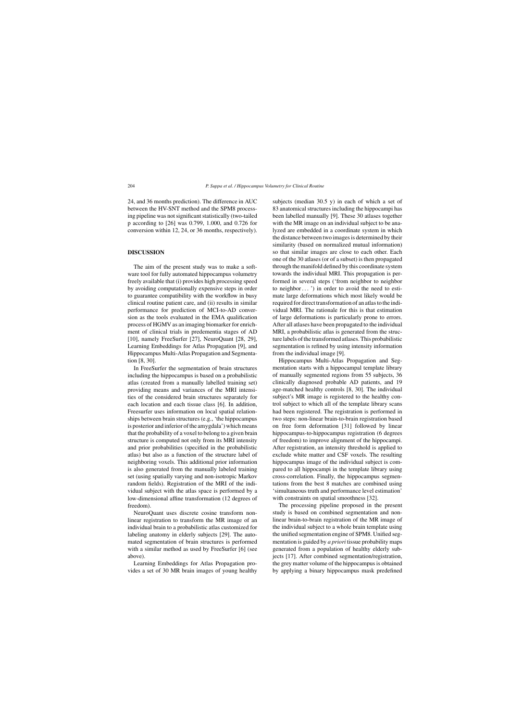24, and 36 months prediction). The difference in AUC between the HV-SNT method and the SPM8 processing pipeline was not significant statistically (two-tailed p according to [26] was 0.799, 1.000, and 0.726 for conversion within 12, 24, or 36 months, respectively).

# **DISCUSSION**

The aim of the present study was to make a software tool for fully automated hippocampus volumetry freely available that (i) provides high processing speed by avoiding computationally expensive steps in order to guarantee compatibility with the workflow in busy clinical routine patient care, and (ii) results in similar performance for prediction of MCI-to-AD conversion as the tools evaluated in the EMA qualification process of HGMV as an imaging biomarker for enrichment of clinical trials in predementia stages of AD [10], namely FreeSurfer [27], NeuroQuant [28, 29], Learning Embeddings for Atlas Propagation [9], and Hippocampus Multi-Atlas Propagation and Segmentation [8, 30].

In FreeSurfer the segmentation of brain structures including the hippocampus is based on a probabilistic atlas (created from a manually labelled training set) providing means and variances of the MRI intensities of the considered brain structures separately for each location and each tissue class [6]. In addition, Freesurfer uses information on local spatial relationships between brain structures (e.g., 'the hippocampus is posterior and inferior of the amygdala') which means that the probability of a voxel to belong to a given brain structure is computed not only from its MRI intensity and prior probabilities (specified in the probabilistic atlas) but also as a function of the structure label of neighboring voxels. This additional prior information is also generated from the manually labeled training set (using spatially varying and non-isotropic Markov random fields). Registration of the MRI of the individual subject with the atlas space is performed by a low-dimensional affine transformation (12 degrees of freedom).

NeuroQuant uses discrete cosine transform nonlinear registration to transform the MR image of an individual brain to a probabilistic atlas customized for labeling anatomy in elderly subjects [29]. The automated segmentation of brain structures is performed with a similar method as used by FreeSurfer [6] (see above).

Learning Embeddings for Atlas Propagation provides a set of 30 MR brain images of young healthy

subjects (median 30.5 y) in each of which a set of 83 anatomical structures including the hippocampi has been labelled manually [9]. These 30 atlases together with the MR image on an individual subject to be analyzed are embedded in a coordinate system in which the distance between two images is determined by their similarity (based on normalized mutual information) so that similar images are close to each other. Each one of the 30 atlases (or of a subset) is then propagated through the manifold defined by this coordinate system towards the individual MRI. This propagation is performed in several steps ('from neighbor to neighbor to neighbor  $\dots$  ') in order to avoid the need to estimate large deformations which most likely would be required for direct transformation of an atlas to the individual MRI. The rationale for this is that estimation of large deformations is particularly prone to errors. After all atlases have been propagated to the individual MRI, a probabilistic atlas is generated from the structure labels of the transformed atlases. This probabilistic segmentation is refined by using intensity information from the individual image [9].

Hippocampus Multi-Atlas Propagation and Segmentation starts with a hippocampal template library of manually segmented regions from 55 subjects, 36 clinically diagnosed probable AD patients, and 19 age-matched healthy controls [8, 30]. The individual subject's MR image is registered to the healthy control subject to which all of the template library scans had been registered. The registration is performed in two steps: non-linear brain-to-brain registration based on free form deformation [31] followed by linear hippocampus-to-hippocampus registration (6 degrees of freedom) to improve alignment of the hippocampi. After registration, an intensity threshold is applied to exclude white matter and CSF voxels. The resulting hippocampus image of the individual subject is compared to all hippocampi in the template library using cross-correlation. Finally, the hippocampus segmentations from the best 8 matches are combined using 'simultaneous truth and performance level estimation' with constraints on spatial smoothness [32].

The processing pipeline proposed in the present study is based on combined segmentation and nonlinear brain-to-brain registration of the MR image of the individual subject to a whole brain template using the unified segmentation engine of SPM8. Unified segmentation is guided by *a priori* tissue probability maps generated from a population of healthy elderly subjects [17]. After combined segmentation/registration, the grey matter volume of the hippocampus is obtained by applying a binary hippocampus mask predefined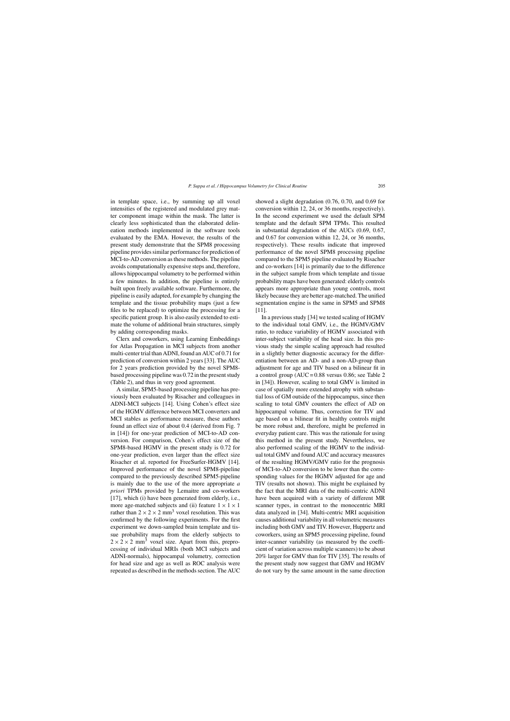in template space, i.e., by summing up all voxel intensities of the registered and modulated grey matter component image within the mask. The latter is clearly less sophisticated than the elaborated delineation methods implemented in the software tools evaluated by the EMA. However, the results of the present study demonstrate that the SPM8 processing pipeline provides similar performance for prediction of MCI-to-AD conversion as these methods. The pipeline avoids computationally expensive steps and, therefore, allows hippocampal volumetry to be performed within a few minutes. In addition, the pipeline is entirely built upon freely available software. Furthermore, the pipeline is easily adapted, for example by changing the template and the tissue probability maps (just a few files to be replaced) to optimize the processing for a specific patient group. It is also easily extended to estimate the volume of additional brain structures, simply by adding corresponding masks.

Clerx and coworkers, using Learning Embeddings for Atlas Propagation in MCI subjects from another multi-center trial than ADNI, found an AUC of 0.71 for prediction of conversion within 2 years [33]. The AUC for 2 years prediction provided by the novel SPM8 based processing pipeline was 0.72 in the present study (Table 2), and thus in very good agreement.

A similar, SPM5-based processing pipeline has previously been evaluated by Risacher and colleagues in ADNI-MCI subjects [14]. Using Cohen's effect size of the HGMV difference between MCI converters and MCI stables as performance measure, these authors found an effect size of about 0.4 (derived from Fig. 7 in [14]) for one-year prediction of MCI-to-AD conversion. For comparison, Cohen's effect size of the SPM8-based HGMV in the present study is 0.72 for one-year prediction, even larger than the effect size Risacher et al. reported for FreeSurfer-HGMV [14]. Improved performance of the novel SPM8-pipeline compared to the previously described SPM5-pipeline is mainly due to the use of the more appropriate *a priori* TPMs provided by Lemaitre and co-workers [17], which (i) have been generated from elderly, i.e., more age-matched subjects and (ii) feature  $1 \times 1 \times 1$ rather than  $2 \times 2 \times 2$  mm<sup>3</sup> voxel resolution. This was confirmed by the following experiments. For the first experiment we down-sampled brain template and tissue probability maps from the elderly subjects to  $2 \times 2 \times 2$  mm<sup>3</sup> voxel size. Apart from this, preprocessing of individual MRIs (both MCI subjects and ADNI-normals), hippocampal volumetry, correction for head size and age as well as ROC analysis were repeated as described in the methods section. The AUC

showed a slight degradation (0.76, 0.70, and 0.69 for conversion within 12, 24, or 36 months, respectively). In the second experiment we used the default SPM template and the default SPM TPMs. This resulted in substantial degradation of the AUCs (0.69, 0.67, and 0.67 for conversion within 12, 24, or 36 months, respectively). These results indicate that improved performance of the novel SPM8 processing pipeline compared to the SPM5 pipeline evaluated by Risacher and co-workers [14] is primarily due to the difference in the subject sample from which template and tissue probability maps have been generated: elderly controls appears more appropriate than young controls, most likely because they are better age-matched. The unified segmentation engine is the same in SPM5 and SPM8 [11].

In a previous study [34] we tested scaling of HGMV to the individual total GMV, i.e., the HGMV/GMV ratio, to reduce variability of HGMV associated with inter-subject variability of the head size. In this previous study the simple scaling approach had resulted in a slightly better diagnostic accuracy for the differentiation between an AD- and a non-AD-group than adjustment for age and TIV based on a bilinear fit in a control group  $(AUC = 0.88$  versus 0.86; see Table 2 in [34]). However, scaling to total GMV is limited in case of spatially more extended atrophy with substantial loss of GM outside of the hippocampus, since then scaling to total GMV counters the effect of AD on hippocampal volume. Thus, correction for TIV and age based on a bilinear fit in healthy controls might be more robust and, therefore, might be preferred in everyday patient care. This was the rationale for using this method in the present study. Nevertheless, we also performed scaling of the HGMV to the individual total GMV and found AUC and accuracy measures of the resulting HGMV/GMV ratio for the prognosis of MCI-to-AD conversion to be lower than the corresponding values for the HGMV adjusted for age and TIV (results not shown). This might be explained by the fact that the MRI data of the multi-centric ADNI have been acquired with a variety of different MR scanner types, in contrast to the monocentric MRI data analyzed in [34]. Multi-centric MRI acquisition causes additional variability in all volumetric measures including both GMV and TIV. However, Huppertz and coworkers, using an SPM5 processing pipeline, found inter-scanner variability (as measured by the coefficient of variation across multiple scanners) to be about 20% larger for GMV than for TIV [35]. The results of the present study now suggest that GMV and HGMV do not vary by the same amount in the same direction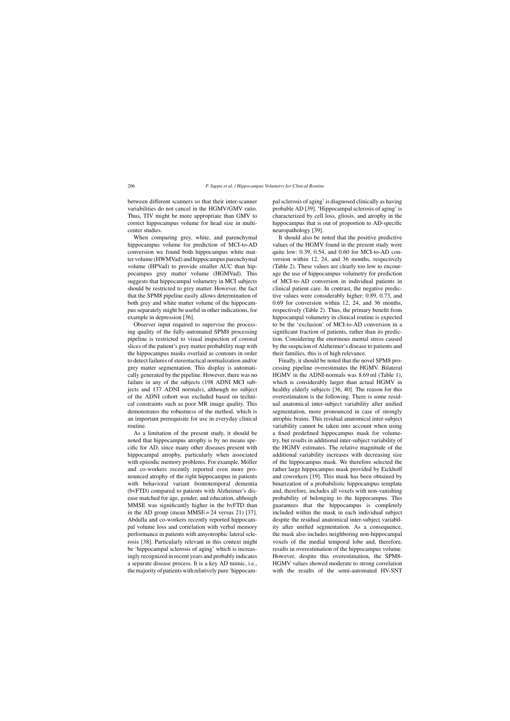between different scanners so that their inter-scanner variabilities do not cancel in the HGMV/GMV ratio. Thus, TIV might be more appropriate than GMV to correct hippocampus volume for head size in multicenter studies.

When comparing grey, white, and parenchymal hippocampus volume for prediction of MCI-to-AD conversion we found both hippocampus white matter volume (HWMVad) and hippocampus parenchymal volume (HPVad) to provide smaller AUC than hippocampus grey matter volume (HGMVad). This suggests that hippocampal volumetry in MCI subjects should be restricted to grey matter. However, the fact that the SPM8 pipeline easily allows determination of both grey and white matter volume of the hippocampus separately might be useful in other indications, for example in depression [36].

Observer input required to supervise the processing quality of the fully-automated SPM8 processing pipeline is restricted to visual inspection of coronal slices of the patient's grey matter probability map with the hippocampus masks overlaid as contours in order to detect failures of stereotactical normalization and/or grey matter segmentation. This display is automatically generated by the pipeline. However, there was no failure in any of the subjects (198 ADNI MCI subjects and 137 ADNI normals), although no subject of the ADNI cohort was excluded based on technical constraints such as poor MR image quality. This demonstrates the robustness of the method, which is an important prerequisite for use in everyday clinical routine.

As a limitation of the present study, it should be noted that hippocampus atrophy is by no means specific for AD, since many other diseases present with hippocampal atrophy, particularly when associated with episodic memory problems. For example, Möller and co-workers recently reported even more pronounced atrophy of the right hippocampus in patients with behavioral variant frontotemporal dementia (bvFTD) compared to patients with Alzheimer's disease matched for age, gender, and education, although MMSE was significantly higher in the bvFTD than in the AD group (mean MMSE =  $24$  versus 21) [37]. Abdulla and co-workers recently reported hippocampal volume loss and correlation with verbal memory performance in patients with amyotrophic lateral sclerosis [38]. Particularly relevant in this context might be 'hippocampal sclerosis of aging' which is increasingly recognized in recent years and probably indicates a separate disease process. It is a key AD mimic, i.e., the majority of patients with relatively pure 'hippocampal sclerosis of aging' is diagnosed clinically as having probable AD [39]. 'Hippocampal sclerosis of aging' is characterized by cell loss, gliosis, and atrophy in the hippocampus that is out of proportion to AD-specific neuropathology [39].

It should also be noted that the positive predictive values of the HGMV found in the present study were quite low: 0.39, 0.54, and 0.60 for MCI-to-AD conversion within 12, 24, and 36 months, respectively (Table 2). These values are clearly too low to encourage the use of hippocampus volumetry for prediction of MCI-to-AD conversion in individual patients in clinical patient care. In contrast, the negative predictive values were considerably higher: 0.89, 0.73, and 0.69 for conversion within 12, 24, and 36 months, respectively (Table 2). Thus, the primary benefit from hippocampal volumetry in clinical routine is expected to be the 'exclusion' of MCI-to-AD conversion in a significant fraction of patients, rather than its prediction. Considering the enormous mental stress caused by the suspicion of Alzheimer's disease to patients and their families, this is of high relevance.

Finally, it should be noted that the novel SPM8 processing pipeline overestimates the HGMV. Bilateral HGMV in the ADNI-normals was 8.69 ml (Table 1), which is considerably larger than actual HGMV in healthy elderly subjects [36, 40]. The reason for this overestimation is the following. There is some residual anatomical inter-subject variability after unified segmentation, more pronounced in case of strongly atrophic brains. This residual anatomical inter-subject variability cannot be taken into account when using a fixed predefined hippocampus mask for volumetry, but results in additional inter-subject variability of the HGMV estimates. The relative magnitude of the additional variability increases with decreasing size of the hippocampus mask. We therefore selected the rather large hippocampus mask provided by Eickhoff and coworkers [19]. This mask has been obtained by binarization of a probabilistic hippocampus template and, therefore, includes all voxels with non-vanishing probability of belonging to the hippocampus. This guarantees that the hippocampus is completely included within the mask in each individual subject despite the residual anatomical inter-subject variability after unified segmentation. As a consequence, the mask also includes neighboring non-hippocampal voxels of the medial temporal lobe and, therefore, results in overestimation of the hippocampus volume. However, despite this overestimation, the SPM8- HGMV values showed moderate to strong correlation with the results of the semi-automated HV-SNT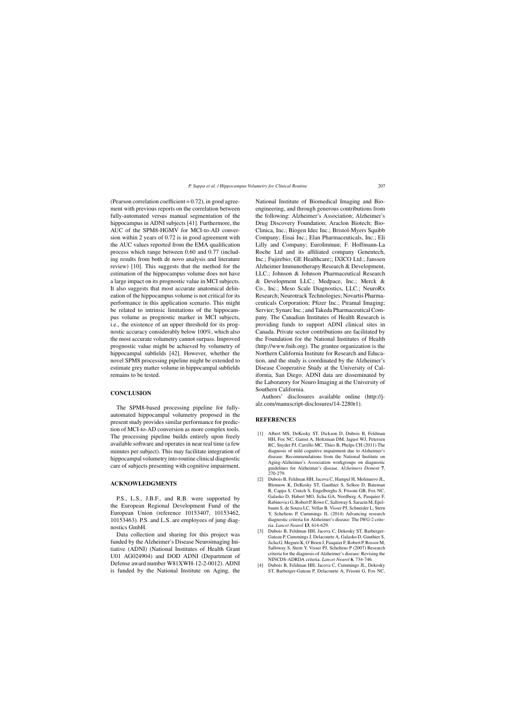(Pearson correlation coefficient  $= 0.72$ ), in good agreement with previous reports on the correlation between fully-automated versus manual segmentation of the hippocampus in ADNI subjects [41]. Furthermore, the AUC of the SPM8-HGMV for MCI-to-AD conversion within 2 years of 0.72 is in good agreement with the AUC values reported from the EMA qualification process which range between 0.60 and 0.77 (including results from both de novo analysis and literature review) [10]. This suggests that the method for the estimation of the hippocampus volume does not have a large impact on its prognostic value in MCI subjects. It also suggests that most accurate anatomical delineation of the hippocampus volume is not critical for its performance in this application scenario. This might be related to intrinsic limitations of the hippocampus volume as prognostic marker in MCI subjects, i.e., the existence of an upper threshold for its prognostic accuracy considerably below 100%, which also the most accurate volumetry cannot surpass. Improved prognostic value might be achieved by volumetry of hippocampal subfields [42]. However, whether the novel SPM8 processing pipeline might be extended to estimate grey matter volume in hippocampal subfields remains to be tested.

# **CONCLUSION**

The SPM8-based processing pipeline for fullyautomated hippocampal volumetry proposed in the present study provides similar performance for prediction of MCI-to-AD conversion as more complex tools. The processing pipeline builds entirely upon freely available software and operates in near real time (a few minutes per subject). This may facilitate integration of hippocampal volumetry into routine clinical diagnostic care of subjects presenting with cognitive impairment.

# **ACKNOWLEDGMENTS**

P.S., L.S., J.B.F., and R.B. were supported by the European Regional Development Fund of the European Union (reference 10153407, 10153462, 10153463). P.S. and L.S. are employees of jung diagnostics GmbH.

Data collection and sharing for this project was funded by the Alzheimer's Disease Neuroimaging Initiative (ADNI) (National Institutes of Health Grant U01 AG024904) and DOD ADNI (Department of Defense award number W81XWH-12-2-0012). ADNI is funded by the National Institute on Aging, the

National Institute of Biomedical Imaging and Bioengineering, and through generous contributions from the following: Alzheimer's Association; Alzheimer's Drug Discovery Foundation; Araclon Biotech; Bio-Clinica, Inc.; Biogen Idec Inc.; Bristol-Myers Squibb Company; Eisai Inc.; Elan Pharmaceuticals, Inc.; Eli Lilly and Company; EuroImmun; F. Hoffmann-La Roche Ltd and its affiliated company Genentech, Inc.; Fujirebio; GE Healthcare;; IXICO Ltd.; Janssen Alzheimer Immunotherapy Research & Development, LLC.; Johnson & Johnson Pharmaceutical Research & Development LLC.; Medpace, Inc.; Merck & Co., Inc.; Meso Scale Diagnostics, LLC.; NeuroRx Research; Neurotrack Technologies; Novartis Pharmaceuticals Corporation; Pfizer Inc.; Piramal Imaging; Servier; Synarc Inc.; and Takeda Pharmaceutical Company. The Canadian Institutes of Health Research is providing funds to support ADNI clinical sites in Canada. Private sector contributions are facilitated by the Foundation for the National Institutes of Health (<http://www.fnih.org>). The grantee organization is the Northern California Institute for Research and Education, and the study is coordinated by the Alzheimer's Disease Cooperative Study at the University of California, San Diego. ADNI data are disseminated by the Laboratory for Neuro Imaging at the University of Southern California.

Authors' disclosures available online [\(http://j](http://j-alz.com/manuscript-disclosures/14-2280r1)alz.com/manuscript-disclosures/14-2280r1).

### **REFERENCES**

- Albert MS, DeKosky ST, Dickson D, Dubois B, Feldman HH, Fox NC, Gamst A, Holtzman DM, Jagust WJ, Petersen RC, Snyder PJ, Carrillo MC, Thies B, Phelps CH (2011) The diagnosis of mild cognitive impairment due to Alzheimer's disease: Recommendations from the National Institute on Aging-Alzheimer's Association workgroups on diagnostic guidelines for Alzheimer's disease. *Alzheimers Dement* **7**, 270-279.
- [2] Dubois B, Feldman HH, Jacova C, Hampel H, Molinuevo JL, Blennow K, DeKosky ST, Gauthier S, Selkoe D, Bateman R, Cappa S, Crutch S, Engelborghs S, Frisoni GB, Fox NC, Galasko D, Habert MO, Jicha GA, Nordberg A, Pasquier F, Rabinovici G, Robert P, Rowe C, Salloway S, Sarazin M, Epelbaum S, de Souza LC, Vellas B, Visser PJ, Schneider L, Stern Y, Scheltens P, Cummings JL (2014) Advancing research diagnostic criteria for Alzheimer's disease: The IWG-2 criteria. *Lancet Neurol* **13**, 614-629.
- [3] Dubois B, Feldman HH, Jacova C, Dekosky ST, Barberger-Gateau P, Cummings J, Delacourte A, Galasko D, Gauthier S, Jicha G, Meguro K, O'Brien J, Pasquier F, Robert P, Rossor M, Salloway S, Stern Y, Visser PJ, Scheltens P (2007) Research criteria for the diagnosis of Alzheimer's disease: Revising the NINCDS-ADRDA criteria. *Lancet Neurol* **6**, 734-746.
- [4] Dubois B, Feldman HH, Jacova C, Cummings JL, Dekosky ST, Barberger-Gateau P, Delacourte A, Frisoni G, Fox NC,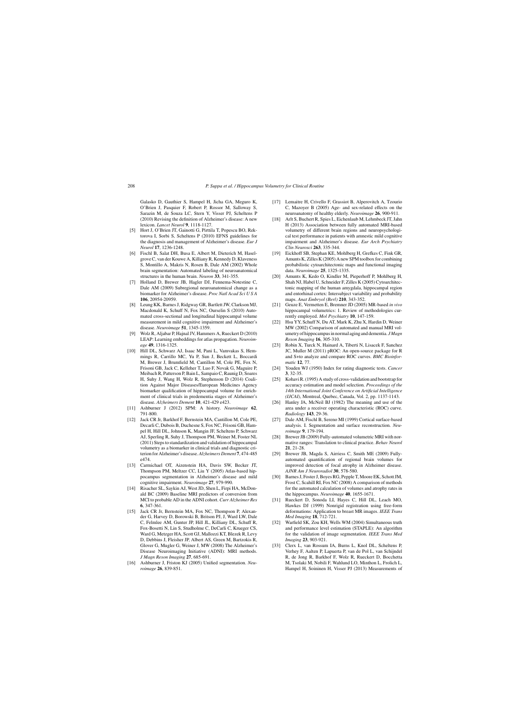Galasko D, Gauthier S, Hampel H, Jicha GA, Meguro K, O'Brien J, Pasquier F, Robert P, Rossor M, Salloway S, Sarazin M, de Souza LC, Stern Y, Visser PJ, Scheltens P (2010) Revising the definition of Alzheimer's disease: A new lexicon. *Lancet Neurol* **9**, 1118-1127.

- [5] Hort J, O'Brien JT, Gainotti G, Pirttila T, Popescu BO, Rektorova I, Sorbi S, Scheltens P (2010) EFNS guidelines for the diagnosis and management of Alzheimer's disease. *Eur J Neurol* **17**, 1236-1248.
- [6] Fischl B, Salat DH, Busa E, Albert M, Dieterich M, Haselgrove C, van der Kouwe A, Killiany R, Kennedy D, Klaveness S, Montillo A, Makris N, Rosen B, Dale AM (2002) Whole brain segmentation: Automated labeling of neuroanatomical structures in the human brain. *Neuron* **33**, 341-355.
- [7] Holland D, Brewer JB, Hagler DJ, Fennema-Notestine C, Dale AM (2009) Subregional neuroanatomical change as a biomarker for Alzheimer's disease. *Proc Natl Acad SciUSA* **106**, 20954-20959.
- [8] Leung KK, Barnes J, Ridgway GR, Bartlett JW, Clarkson MJ, Macdonald K, Schuff N, Fox NC, Ourselin S (2010) Automated cross-sectional and longitudinal hippocampal volume measurement in mild cognitive impairment and Alzheimer's disease. *Neuroimage* **51**, 1345-1359.
- [9] Wolz R, Aljabar P, Hajnal JV, Hammers A, Rueckert D (2010) LEAP: Learning embeddings for atlas propagation. *Neuroimage* **49**, 1316-1325.
- [10] Hill DL, Schwarz AJ, Isaac M, Pani L, Vamvakas S, Hemmings R, Carrillo MC, Yu P, Sun J, Beckett L, Boccardi M, Brewer J, Brumfield M, Cantillon M, Cole PE, Fox N, Frisoni GB, Jack C, Kelleher T, Luo F, Novak G, Maguire P, Meibach R, Patterson P, Bain L, Sampaio C, Raunig D, Soares H, Suhy J, Wang H, Wolz R, Stephenson D (2014) Coalition Against Major Diseases/European Medicines Agency biomarker qualification of hippocampal volume for enrichment of clinical trials in predementia stages of Alzheimer's disease. *Alzheimers Dement* **10**, 421-429 e423.
- [11] Ashburner J (2012) SPM: A history. *Neuroimage* **62**, 791-800.
- [12] Jack CR Jr, Barkhof F, Bernstein MA, Cantillon M, Cole PE, Decarli C, Dubois B, Duchesne S, Fox NC, Frisoni GB, Hampel H, Hill DL, Johnson K, Mangin JF, Scheltens P, Schwarz AJ, Sperling R, Suhy J, Thompson PM, Weiner M, Foster NL (2011) Steps to standardization and validation of hippocampal volumetry as a biomarker in clinical trials and diagnostic criterion for Alzheimer's disease. *Alzheimers Dement* **7**, 474-485 e474.
- [13] Carmichael OT, Aizenstein HA, Davis SW, Becker JT, Thompson PM, Meltzer CC, Liu Y (2005) Atlas-based hippocampus segmentation in Alzheimer's disease and mild cognitive impairment. *Neuroimage* **27**, 979-990.
- [14] Risacher SL, Saykin AJ, West JD, Shen L, Firpi HA, McDonald BC (2009) Baseline MRI predictors of conversion from MCI to probable AD in the ADNI cohort. *Curr Alzheimer Res* **6**, 347-361.
- [15] Jack CR Jr, Bernstein MA, Fox NC, Thompson P, Alexander G, Harvey D, Borowski B, Britson PJ, J, Ward LW, Dale C, Felmlee AM, Gunter JP, Hill JL, Killiany DL, Schuff R, Fox-Bosetti N, Lin S, Studholme C, DeCarli C, Krueger CS, Ward G, Metzger HA, Scott GJ, Mallozzi KT, Blezek R, Levy D, Debbins J, Fleisher JP, Albert AS, Green M, Bartzokis R, Glover G, Mugler G, Weiner J, MW (2008) The Alzheimer's Disease Neuroimaging Initiative (ADNI): MRI methods. *J Magn Reson Imaging* **27**, 685-691.
- [16] Ashburner J, Friston KJ (2005) Unified segmentation. *Neuroimage* **26**, 839-851.
- [17] Lemaitre H, Crivello F, Grassiot B, Alperovitch A, Tzourio C, Mazoyer B (2005) Age- and sex-related effects on the neuroanatomy of healthy elderly. *Neuroimage* **26**, 900-911.
- [18] Arlt S, Buchert R, Spies L, Eichenlaub M, Lehmbeck JT, Jahn H (2013) Association between fully automated MRI-based volumetry of different brain regions and neuropsychological test performance in patients with amnestic mild cognitive impairment and Alzheimer's disease. *Eur Arch Psychiatry Clin Neurosci* **263**, 335-344.
- [19] Eickhoff SB, Stephan KE, Mohlberg H, Grefkes C, Fink GR, Amunts K, Zilles K (2005) A new SPM toolbox for combining probabilistic cytoarchitectonic maps and functional imaging data. *Neuroimage* **25**, 1325-1335.
- [20] Amunts K, Kedo O, Kindler M, Pieperhoff P, Mohlberg H, Shah NJ, Habel U, Schneider F, Zilles K (2005) Cytoarchitectonic mapping of the human amygdala, hippocampal region and entorhinal cortex: Intersubject variability and probability maps. *Anat Embryol (Berl)* **210**, 343-352.
- [21] Geuze E, Vermetten E, Bremner JD (2005) MR-based *in vivo* hippocampal volumetrics: 1. Review of methodologies currently employed. *Mol Psychiatry* **10**, 147-159.
- [22] Hsu YY, Schuff N, Du AT, Mark K, Zhu X, Hardin D, Weiner MW (2002) Comparison of automated and manual MRI volumetry of hippocampus in normal aging and dementia. *J Magn Reson Imaging* **16**, 305-310.
- [23] Robin X, Turck N, Hainard A, Tiberti N, Lisacek F, Sanchez JC, Muller M (2011) pROC: An open-source package for R and S+to analyze and compare ROC curves. *BMC Bioinformatic* **12**, 77.
- [24] Youden WJ (1950) Index for rating diagnostic tests. *Cancer* **3**, 32-35.
- [25] Kohavi R. (1995) A study of cross-validation and bootstrap for accuracy estimation and model selection. *Proceedings of the 14th International Joint Conference on Artificial Intelligence (IJCAI)*, Montreal, Quebec, Canada, Vol. 2, pp. 1137-1143.
- [26] Hanley JA, McNeil BJ (1982) The meaning and use of the area under a receiver operating characteristic (ROC) curve. *Radiology* **143**, 29-36.
- [27] Dale AM, Fischl B, Sereno MI (1999) Cortical surface-based analysis. I. Segmentation and surface reconstruction. *Neuroimage* **9**, 179-194.
- [28] Brewer JB (2009) Fully-automated volumetric MRI with normative ranges: Translation to clinical practice. *Behav Neurol* **21**, 21-28.
- [29] Brewer JB, Magda S, Airriess C, Smith ME (2009) Fullyautomated quantification of regional brain volumes for improved detection of focal atrophy in Alzheimer disease. *AJNR Am J Neuroradiol* **30**, 578-580.
- [30] Barnes J, Foster J, Boyes RG, Pepple T, Moore EK, Schott JM, Frost C, Scahill RI, Fox NC (2008) A comparison of methods for the automated calculation of volumes and atrophy rates in the hippocampus. *Neuroimage* **40**, 1655-1671.
- [31] Rueckert D, Sonoda LI, Hayes C, Hill DL, Leach MO, Hawkes DJ (1999) Nonrigid registration using free-form deformations: Application to breast MR images. *IEEE Trans Med Imaging* **18**, 712-721.
- [32] Warfield SK, Zou KH, Wells WM (2004) Simultaneous truth and performance level estimation (STAPLE): An algorithm for the validation of image segmentation. *IEEE Trans Med Imaging* **23**, 903-921.
- [33] Clerx L, van Rossum IA, Burns L, Knol DL, Scheltens P, Verhey F, Aalten P, Lapuerta P, van de Pol L, van Schijndel R, de Jong R, Barkhof F, Wolz R, Rueckert D, Bocchetta M, Tsolaki M, Nobili F, Wahlund LO, Minthon L, Frolich L, Hampel H, Soininen H, Visser PJ (2013) Measurements of